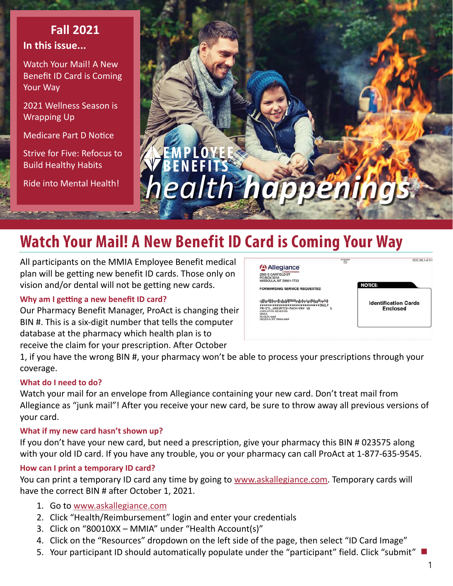### **In this issue... Fall 2021**

Watch Your Mail! A New Benefit ID Card is Coming Your Way

[2021 Wellness Season is](#page-1-0)  [Wrapping Up](#page-1-0)

[Medicare Part D Notice](#page-1-0)

[Strive for Five: Refocus to](#page-2-0)  [Build Healthy Habits](#page-2-0)

[Ride into Mental Health!](#page-3-0) 



# **Watch Your Mail! A New Benefit ID Card is Coming Your Way**

All participants on the MMIA Employee Benefit medical plan will be getting new benefit ID cards. Those only on vision and/or dental will not be getting new cards.

#### **Why am I getting a new benefit ID card?**

Our Pharmacy Benefit Manager, ProAct is changing their BIN #. This is a six-digit number that tells the computer database at the pharmacy which health plan is to receive the claim for your prescription. After October



1, if you have the wrong BIN #, your pharmacy won't be able to process your prescriptions through your coverage.

#### **What do I need to do?**

Watch your mail for an envelope from Allegiance containing your new card. Don't treat mail from Allegiance as "junk mail"! After you receive your new card, be sure to throw away all previous versions of your card.

#### **What if my new card hasn't shown up?**

If you don't have your new card, but need a prescription, give your pharmacy this BIN # 023575 along with your old ID card. If you have any trouble, you or your pharmacy can call ProAct at 1-877-635-9545.

#### **How can I print a temporary ID card?**

You can print a temporary ID card any time by going to [www.askallegiance.com.](https://www.askallegiance.com) Temporary cards will have the correct BIN # after October 1, 2021.

- 1. Go to www.[askallegiance.com](https://askallegiance.com)
- 2. Click "Health/Reimbursement" login and enter your credentials
- 3. Click on "80010XX MMIA" under "Health Account(s)"
- 4. Click on the "Resources" dropdown on the left side of the page, then select "ID Card Image"
- 5. Your participant ID should automatically populate under the "participant" field. Click "submit" **■**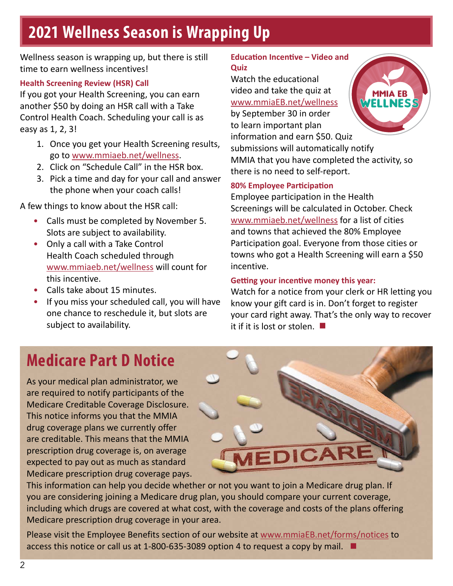# <span id="page-1-0"></span>**2021 Wellness Season is Wrapping Up**

Wellness season is wrapping up, but there is still time to earn wellness incentives!

#### **Health Screening Review (HSR) Call**

If you got your Health Screening, you can earn another \$50 by doing an HSR call with a Take Control Health Coach. Scheduling your call is as easy as 1, 2, 3!

- 1. Once you get your Health Screening results, go to [www.mmiaeb.net/wellness](https://www.mmiaeb.net/wellness).
- 2. Click on "Schedule Call" in the HSR box.
- 3. Pick a time and day for your call and answer the phone when your coach calls!

A few things to know about the HSR call:

- Calls must be completed by November 5. Slots are subject to availability.
- Only a call with a Take Control Health Coach scheduled through [www.mmiaeb.net/wellness](https://www.mmiaeb.net/wellness) will count for this incentive.
- Calls take about 15 minutes.
- If you miss your scheduled call, you will have one chance to reschedule it, but slots are subject to availability.

#### **Education Incentive – Video and Quiz**

Watch the educational video and take the quiz at [www.mmiaEB.net/wellness](https://www.mmiaEB.net/wellness)

by September 30 in order to learn important plan information and earn \$50. Quiz submissions will automatically notify MMIA that you have completed the activity, so there is no need to self-report.

#### **80% Employee Participation**

Employee participation in the Health Screenings will be calculated in October. Check [www.mmiaeb.net/wellness](https://www.mmiaeb.net/wellness) for a list of cities and towns that achieved the 80% Employee Participation goal. Everyone from those cities or towns who got a Health Screening will earn a \$50 incentive.

#### **Getting your incentive money this year:**

Watch for a notice from your clerk or HR letting you know your gift card is in. Don't forget to register your card right away. That's the only way to recover it if it is lost or stolen. **■**

### **Medicare Part D Notice**

As your medical plan administrator, we are required to notify participants of the Medicare Creditable Coverage Disclosure. This notice informs you that the MMIA drug coverage plans we currently offer are creditable. This means that the MMIA prescription drug coverage is, on average expected to pay out as much as standard Medicare prescription drug coverage pays.



This information can help you decide whether or not you want to join a Medicare drug plan. If you are considering joining a Medicare drug plan, you should compare your current coverage, including which drugs are covered at what cost, with the coverage and costs of the plans offering Medicare prescription drug coverage in your area.

Please visit the Employee Benefits section of our website at www.mmiaEB.net/forms/notices to access this notice or call us at 1-800-635-3089 option 4 to request a copy by mail. **■**

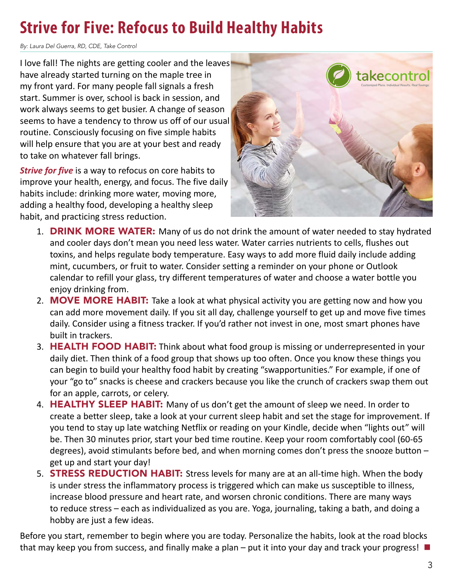## <span id="page-2-0"></span>**Strive for Five: Refocus to Build Healthy Habits**

*By: Laura Del Guerra, RD, CDE, Take Control*

I love fall! The nights are getting cooler and the leaves have already started turning on the maple tree in my front yard. For many people fall signals a fresh start. Summer is over, school is back in session, and work always seems to get busier. A change of season seems to have a tendency to throw us off of our usual routine. Consciously focusing on five simple habits will help ensure that you are at your best and ready to take on whatever fall brings.

*Strive for five* is a way to refocus on core habits to improve your health, energy, and focus. The five daily habits include: drinking more water, moving more, adding a healthy food, developing a healthy sleep habit, and practicing stress reduction.



- 1. **DRINK MORE WATER:** Many of us do not drink the amount of water needed to stay hydrated and cooler days don't mean you need less water. Water carries nutrients to cells, flushes out toxins, and helps regulate body temperature. Easy ways to add more fluid daily include adding mint, cucumbers, or fruit to water. Consider setting a reminder on your phone or Outlook calendar to refill your glass, try different temperatures of water and choose a water bottle you enjoy drinking from.
- 2. MOVE MORE HABIT: Take a look at what physical activity you are getting now and how you can add more movement daily. If you sit all day, challenge yourself to get up and move five times daily. Consider using a fitness tracker. If you'd rather not invest in one, most smart phones have built in trackers.
- 3. HEALTH FOOD HABIT: Think about what food group is missing or underrepresented in your daily diet. Then think of a food group that shows up too often. Once you know these things you can begin to build your healthy food habit by creating "swapportunities." For example, if one of your "go to" snacks is cheese and crackers because you like the crunch of crackers swap them out for an apple, carrots, or celery.
- 4. HEALTHY SLEEP HABIT: Many of us don't get the amount of sleep we need. In order to create a better sleep, take a look at your current sleep habit and set the stage for improvement. If you tend to stay up late watching Netflix or reading on your Kindle, decide when "lights out" will be. Then 30 minutes prior, start your bed time routine. Keep your room comfortably cool (60-65 degrees), avoid stimulants before bed, and when morning comes don't press the snooze button – get up and start your day!
- 5. **STRESS REDUCTION HABIT:** Stress levels for many are at an all-time high. When the body is under stress the inflammatory process is triggered which can make us susceptible to illness, increase blood pressure and heart rate, and worsen chronic conditions. There are many ways to reduce stress – each as individualized as you are. Yoga, journaling, taking a bath, and doing a hobby are just a few ideas.

Before you start, remember to begin where you are today. Personalize the habits, look at the road blocks that may keep you from success, and finally make a plan – put it into your day and track your progress! **■**